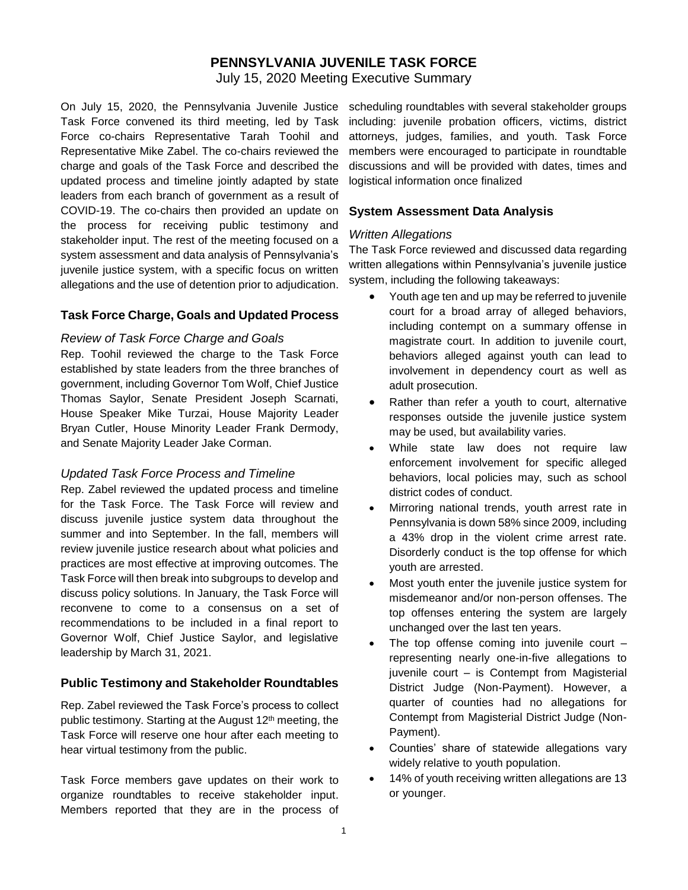# **PENNSYLVANIA JUVENILE TASK FORCE**

July 15, 2020 Meeting Executive Summary

On July 15, 2020, the Pennsylvania Juvenile Justice Task Force convened its third meeting, led by Task Force co-chairs Representative Tarah Toohil and Representative Mike Zabel. The co-chairs reviewed the charge and goals of the Task Force and described the updated process and timeline jointly adapted by state leaders from each branch of government as a result of COVID-19. The co-chairs then provided an update on the process for receiving public testimony and stakeholder input. The rest of the meeting focused on a system assessment and data analysis of Pennsylvania's juvenile justice system, with a specific focus on written allegations and the use of detention prior to adjudication.

## **Task Force Charge, Goals and Updated Process**

### *Review of Task Force Charge and Goals*

Rep. Toohil reviewed the charge to the Task Force established by state leaders from the three branches of government, including Governor Tom Wolf, Chief Justice Thomas Saylor, Senate President Joseph Scarnati, House Speaker Mike Turzai, House Majority Leader Bryan Cutler, House Minority Leader Frank Dermody, and Senate Majority Leader Jake Corman.

### *Updated Task Force Process and Timeline*

Rep. Zabel reviewed the updated process and timeline for the Task Force. The Task Force will review and discuss juvenile justice system data throughout the summer and into September. In the fall, members will review juvenile justice research about what policies and practices are most effective at improving outcomes. The Task Force will then break into subgroups to develop and discuss policy solutions. In January, the Task Force will reconvene to come to a consensus on a set of recommendations to be included in a final report to Governor Wolf, Chief Justice Saylor, and legislative leadership by March 31, 2021.

### **Public Testimony and Stakeholder Roundtables**

Rep. Zabel reviewed the Task Force's process to collect public testimony. Starting at the August 12<sup>th</sup> meeting, the Task Force will reserve one hour after each meeting to hear virtual testimony from the public.

Task Force members gave updates on their work to organize roundtables to receive stakeholder input. Members reported that they are in the process of

scheduling roundtables with several stakeholder groups including: juvenile probation officers, victims, district attorneys, judges, families, and youth. Task Force members were encouraged to participate in roundtable discussions and will be provided with dates, times and logistical information once finalized

### **System Assessment Data Analysis**

#### *Written Allegations*

The Task Force reviewed and discussed data regarding written allegations within Pennsylvania's juvenile justice system, including the following takeaways:

- Youth age ten and up may be referred to juvenile court for a broad array of alleged behaviors, including contempt on a summary offense in magistrate court. In addition to juvenile court, behaviors alleged against youth can lead to involvement in dependency court as well as adult prosecution.
- Rather than refer a youth to court, alternative responses outside the juvenile justice system may be used, but availability varies.
- While state law does not require law enforcement involvement for specific alleged behaviors, local policies may, such as school district codes of conduct.
- Mirroring national trends, youth arrest rate in Pennsylvania is down 58% since 2009, including a 43% drop in the violent crime arrest rate. Disorderly conduct is the top offense for which youth are arrested.
- Most youth enter the juvenile justice system for misdemeanor and/or non-person offenses. The top offenses entering the system are largely unchanged over the last ten years.
- The top offense coming into juvenile court  $$ representing nearly one-in-five allegations to juvenile court – is Contempt from Magisterial District Judge (Non-Payment). However, a quarter of counties had no allegations for Contempt from Magisterial District Judge (Non-Payment).
- Counties' share of statewide allegations vary widely relative to youth population.
- 14% of youth receiving written allegations are 13 or younger.